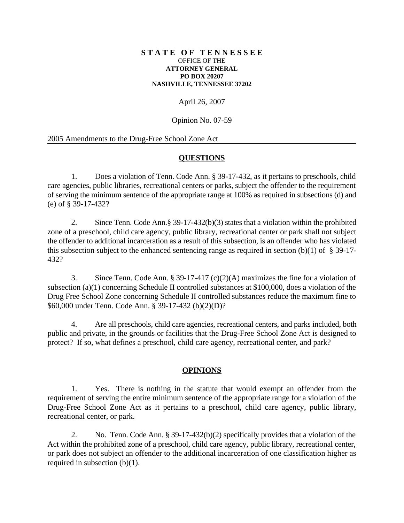#### **S T A T E O F T E N N E S S E E** OFFICE OF THE **ATTORNEY GENERAL PO BOX 20207 NASHVILLE, TENNESSEE 37202**

# April 26, 2007

Opinion No. 07-59

### 2005 Amendments to the Drug-Free School Zone Act

## **QUESTIONS**

1. Does a violation of Tenn. Code Ann. § 39-17-432, as it pertains to preschools, child care agencies, public libraries, recreational centers or parks, subject the offender to the requirement of serving the minimum sentence of the appropriate range at 100% as required in subsections (d) and (e) of § 39-17-432?

2. Since Tenn. Code Ann.§ 39-17-432(b)(3) states that a violation within the prohibited zone of a preschool, child care agency, public library, recreational center or park shall not subject the offender to additional incarceration as a result of this subsection, is an offender who has violated this subsection subject to the enhanced sentencing range as required in section (b)(1) of  $\S$  39-17-432?

3. Since Tenn. Code Ann. § 39-17-417 (c)(2)(A) maximizes the fine for a violation of subsection (a)(1) concerning Schedule II controlled substances at \$100,000, does a violation of the Drug Free School Zone concerning Schedule II controlled substances reduce the maximum fine to \$60,000 under Tenn. Code Ann. § 39-17-432 (b)(2)(D)?

4. Are all preschools, child care agencies, recreational centers, and parks included, both public and private, in the grounds or facilities that the Drug-Free School Zone Act is designed to protect? If so, what defines a preschool, child care agency, recreational center, and park?

## **OPINIONS**

1. Yes. There is nothing in the statute that would exempt an offender from the requirement of serving the entire minimum sentence of the appropriate range for a violation of the Drug-Free School Zone Act as it pertains to a preschool, child care agency, public library, recreational center, or park.

2. No. Tenn. Code Ann. § 39-17-432(b)(2) specifically provides that a violation of the Act within the prohibited zone of a preschool, child care agency, public library, recreational center, or park does not subject an offender to the additional incarceration of one classification higher as required in subsection (b)(1).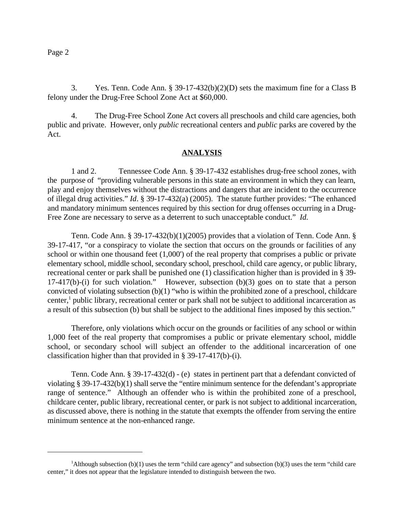3. Yes. Tenn. Code Ann. § 39-17-432(b)(2)(D) sets the maximum fine for a Class B felony under the Drug-Free School Zone Act at \$60,000.

4. The Drug-Free School Zone Act covers all preschools and child care agencies, both public and private. However, only *public* recreational centers and *public* parks are covered by the Act.

#### **ANALYSIS**

1 and 2. Tennessee Code Ann. § 39-17-432 establishes drug-free school zones, with the purpose of "providing vulnerable persons in this state an environment in which they can learn, play and enjoy themselves without the distractions and dangers that are incident to the occurrence of illegal drug activities." *Id*. § 39-17-432(a) (2005). The statute further provides: "The enhanced and mandatory minimum sentences required by this section for drug offenses occurring in a Drug-Free Zone are necessary to serve as a deterrent to such unacceptable conduct." *Id.*

Tenn. Code Ann. § 39-17-432(b)(1)(2005) provides that a violation of Tenn. Code Ann. § 39-17-417, "or a conspiracy to violate the section that occurs on the grounds or facilities of any school or within one thousand feet (1,000') of the real property that comprises a public or private elementary school, middle school, secondary school, preschool, child care agency, or public library, recreational center or park shall be punished one (1) classification higher than is provided in § 39- 17-417(b)-(i) for such violation." However, subsection (b)(3) goes on to state that a person convicted of violating subsection (b)(1) "who is within the prohibited zone of a preschool, childcare center, $\frac{1}{2}$  public library, recreational center or park shall not be subject to additional incarceration as a result of this subsection (b) but shall be subject to the additional fines imposed by this section."

Therefore, only violations which occur on the grounds or facilities of any school or within 1,000 feet of the real property that compromises a public or private elementary school, middle school, or secondary school will subject an offender to the additional incarceration of one classification higher than that provided in § 39-17-417(b)-(i).

Tenn. Code Ann. § 39-17-432(d) - (e) states in pertinent part that a defendant convicted of violating § 39-17-432(b)(1) shall serve the "entire minimum sentence for the defendant's appropriate range of sentence." Although an offender who is within the prohibited zone of a preschool, childcare center, public library, recreational center, or park is not subject to additional incarceration, as discussed above, there is nothing in the statute that exempts the offender from serving the entire minimum sentence at the non-enhanced range.

Although subsection  $(b)(1)$  uses the term "child care agency" and subsection  $(b)(3)$  uses the term "child care center," it does not appear that the legislature intended to distinguish between the two.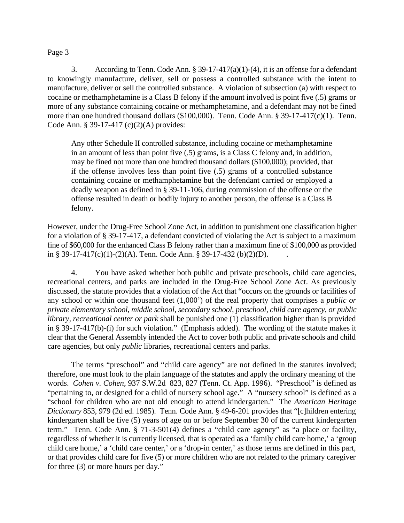### Page 3

3. According to Tenn. Code Ann. § 39-17-417(a)(1)-(4), it is an offense for a defendant to knowingly manufacture, deliver, sell or possess a controlled substance with the intent to manufacture, deliver or sell the controlled substance. A violation of subsection (a) with respect to cocaine or methamphetamine is a Class B felony if the amount involved is point five (.5) grams or more of any substance containing cocaine or methamphetamine, and a defendant may not be fined more than one hundred thousand dollars (\$100,000). Tenn. Code Ann. § 39-17-417(c)(1). Tenn. Code Ann. § 39-17-417 (c)(2)(A) provides:

Any other Schedule II controlled substance, including cocaine or methamphetamine in an amount of less than point five (.5) grams, is a Class C felony and, in addition, may be fined not more than one hundred thousand dollars (\$100,000); provided, that if the offense involves less than point five (.5) grams of a controlled substance containing cocaine or methamphetamine but the defendant carried or employed a deadly weapon as defined in § 39-11-106, during commission of the offense or the offense resulted in death or bodily injury to another person, the offense is a Class B felony.

However, under the Drug-Free School Zone Act, in addition to punishment one classification higher for a violation of § 39-17-417, a defendant convicted of violating the Act is subject to a maximum fine of \$60,000 for the enhanced Class B felony rather than a maximum fine of \$100,000 as provided in § 39-17-417(c)(1)-(2)(A). Tenn. Code Ann. § 39-17-432 (b)(2)(D).

4. You have asked whether both public and private preschools, child care agencies, recreational centers, and parks are included in the Drug-Free School Zone Act. As previously discussed, the statute provides that a violation of the Act that "occurs on the grounds or facilities of any school or within one thousand feet (1,000') of the real property that comprises a *public or private elementary school, middle school, secondary school, preschool, child care agency, or public library, recreational center or park* shall be punished one (1) classification higher than is provided in § 39-17-417(b)-(i) for such violation." (Emphasis added). The wording of the statute makes it clear that the General Assembly intended the Act to cover both public and private schools and child care agencies, but only *public* libraries, recreational centers and parks.

The terms "preschool" and "child care agency" are not defined in the statutes involved; therefore, one must look to the plain language of the statutes and apply the ordinary meaning of the words. *Cohen v. Cohen*, 937 S.W.2d 823, 827 (Tenn. Ct. App. 1996). "Preschool" is defined as "pertaining to, or designed for a child of nursery school age." A "nursery school" is defined as a "school for children who are not old enough to attend kindergarten." The *American Heritage Dictionary* 853, 979 (2d ed. 1985). Tenn. Code Ann. § 49-6-201 provides that "[c]hildren entering kindergarten shall be five (5) years of age on or before September 30 of the current kindergarten term." Tenn. Code Ann. § 71-3-501(4) defines a "child care agency" as "a place or facility, regardless of whether it is currently licensed, that is operated as a 'family child care home,' a 'group child care home,' a 'child care center,' or a 'drop-in center,' as those terms are defined in this part, or that provides child care for five (5) or more children who are not related to the primary caregiver for three (3) or more hours per day."